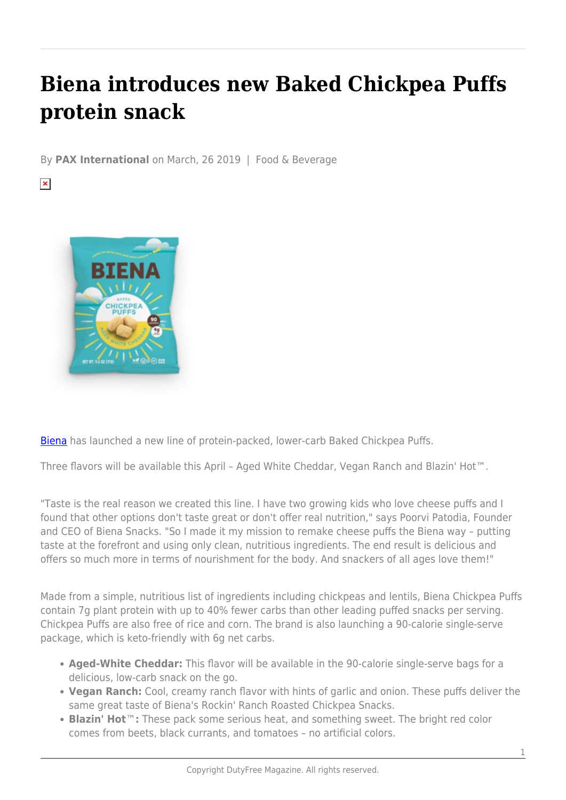## **Biena introduces new Baked Chickpea Puffs protein snack**

By **PAX International** on March, 26 2019 | Food & Beverage

 $\pmb{\times}$ 



[Biena](https://c212.net/c/link/?t=0&l=en&o=2378766-1&h=49360849&u=http%3A%2F%2Fwww.bienasnacks.com%2F&a=Biena) has launched a new line of protein-packed, lower-carb Baked Chickpea Puffs.

Three flavors will be available this April – Aged White Cheddar, Vegan Ranch and Blazin' Hot™.

"Taste is the real reason we created this line. I have two growing kids who love cheese puffs and I found that other options don't taste great or don't offer real nutrition," says Poorvi Patodia, Founder and CEO of Biena Snacks. "So I made it my mission to remake cheese puffs the Biena way – putting taste at the forefront and using only clean, nutritious ingredients. The end result is delicious and offers so much more in terms of nourishment for the body. And snackers of all ages love them!"

Made from a simple, nutritious list of ingredients including chickpeas and lentils, Biena Chickpea Puffs contain 7g plant protein with up to 40% fewer carbs than other leading puffed snacks per serving. Chickpea Puffs are also free of rice and corn. The brand is also launching a 90-calorie single-serve package, which is keto-friendly with 6g net carbs.

- **Aged-White Cheddar:** This flavor will be available in the 90-calorie single-serve bags for a delicious, low-carb snack on the go.
- **Vegan Ranch:** Cool, creamy ranch flavor with hints of garlic and onion. These puffs deliver the same great taste of Biena's Rockin' Ranch Roasted Chickpea Snacks.
- **Blazin' Hot**™**:** These pack some serious heat, and something sweet. The bright red color comes from beets, black currants, and tomatoes – no artificial colors.